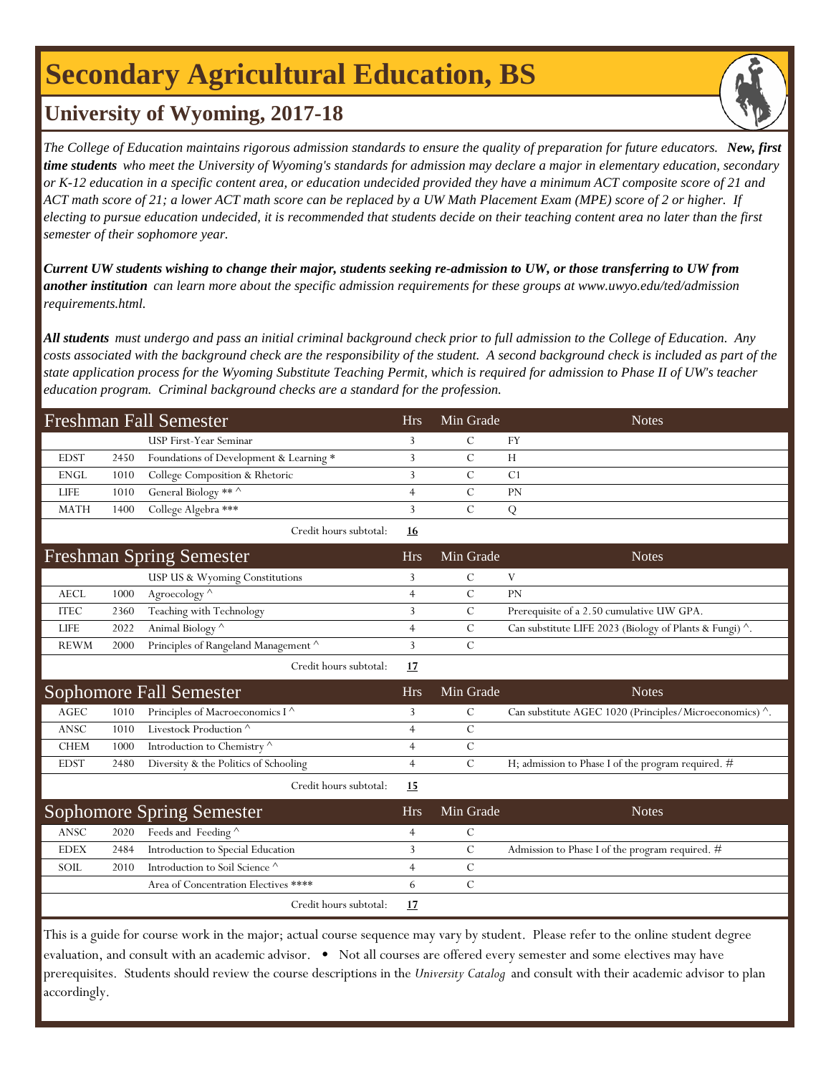## **Secondary Agricultural Education, BS**



### **University of Wyoming, 2017-18**

*The College of Education maintains rigorous admission standards to ensure the quality of preparation for future educators. New, first time students who meet the University of Wyoming's standards for admission may declare a major in elementary education, secondary or K-12 education in a specific content area, or education undecided provided they have a minimum ACT composite score of 21 and ACT math score of 21; a lower ACT math score can be replaced by a UW Math Placement Exam (MPE) score of 2 or higher. If electing to pursue education undecided, it is recommended that students decide on their teaching content area no later than the first semester of their sophomore year.*

*Current UW students wishing to change their major, students seeking re-admission to UW, or those transferring to UW from another institution can learn more about the specific admission requirements for these groups at www.uwyo.edu/ted/admission requirements.html.* 

*All students must undergo and pass an initial criminal background check prior to full admission to the College of Education. Any costs associated with the background check are the responsibility of the student. A second background check is included as part of the state application process for the Wyoming Substitute Teaching Permit, which is required for admission to Phase II of UW's teacher education program. Criminal background checks are a standard for the profession.*

| <b>Freshman Fall Semester</b>   |      |                                         | <b>Hrs</b>     | Min Grade     | <b>Notes</b>                                                    |
|---------------------------------|------|-----------------------------------------|----------------|---------------|-----------------------------------------------------------------|
|                                 |      | USP First-Year Seminar                  | 3              | $\mathcal{C}$ | FY                                                              |
| <b>EDST</b>                     | 2450 | Foundations of Development & Learning * | 3              | $\mathcal{C}$ | H                                                               |
| <b>ENGL</b>                     | 1010 | College Composition & Rhetoric          | 3              | $\mathsf{C}$  | C <sub>1</sub>                                                  |
| <b>LIFE</b>                     | 1010 | General Biology ** ^                    | $\overline{4}$ | $\mathcal{C}$ | PN                                                              |
| <b>MATH</b>                     | 1400 | College Algebra ***                     | 3              | $\mathcal{C}$ | ${\bf Q}$                                                       |
|                                 |      | Credit hours subtotal:                  | 16             |               |                                                                 |
| <b>Freshman Spring Semester</b> |      |                                         | <b>Hrs</b>     | Min Grade     | <b>Notes</b>                                                    |
|                                 |      | USP US & Wyoming Constitutions          | 3              | C             | V                                                               |
| <b>AECL</b>                     | 1000 | Agroecology ^                           | $\overline{4}$ | $\mathcal{C}$ | PN                                                              |
| <b>ITEC</b>                     | 2360 | Teaching with Technology                | 3              | $\mathcal{C}$ | Prerequisite of a 2.50 cumulative UW GPA.                       |
| LIFE                            | 2022 | Animal Biology ^                        | $\overline{4}$ | $\mathsf{C}$  | Can substitute LIFE 2023 (Biology of Plants & Fungi) $\wedge$ . |
| <b>REWM</b>                     | 2000 | Principles of Rangeland Management ^    | 3              | $\mathcal{C}$ |                                                                 |
|                                 |      | Credit hours subtotal:                  | <u>17</u>      |               |                                                                 |
| Sophomore Fall Semester         |      |                                         |                |               |                                                                 |
|                                 |      |                                         | <b>Hrs</b>     | Min Grade     | <b>Notes</b>                                                    |
| $\operatorname{AGEC}$           | 1010 | Principles of Macroeconomics I ^        | 3              | $\mathcal{C}$ | Can substitute AGEC 1020 (Principles/Microeconomics) ^.         |
| ANSC                            | 1010 | Livestock Production $^\wedge$          | $\overline{4}$ | $\mathbf C$   |                                                                 |
| <b>CHEM</b>                     | 1000 | Introduction to Chemistry $^\wedge$     | $\overline{4}$ | $\mathcal{C}$ |                                                                 |
| <b>EDST</b>                     | 2480 | Diversity & the Politics of Schooling   | $\overline{4}$ | $\mathcal{C}$ | H; admission to Phase I of the program required. #              |
|                                 |      | Credit hours subtotal:                  | <b>15</b>      |               |                                                                 |
|                                 |      | <b>Sophomore Spring Semester</b>        | <b>Hrs</b>     | Min Grade     | <b>Notes</b>                                                    |
| ANSC                            | 2020 | Feeds and Feeding ^                     | $\overline{4}$ | $\mathcal{C}$ |                                                                 |
| <b>EDEX</b>                     | 2484 | Introduction to Special Education       | 3              | $\mathcal{C}$ | Admission to Phase I of the program required. #                 |
| SOIL                            | 2010 | Introduction to Soil Science $^\wedge$  | $\overline{4}$ | $\mathcal{C}$ |                                                                 |
|                                 |      | Area of Concentration Electives ****    | 6              | $\mathcal{C}$ |                                                                 |
|                                 |      | Credit hours subtotal:                  | 17             |               |                                                                 |

evaluation, and consult with an academic advisor. • Not all courses are offered every semester and some electives may have prerequisites. Students should review the course descriptions in the *University Catalog* and consult with their academic advisor to plan accordingly.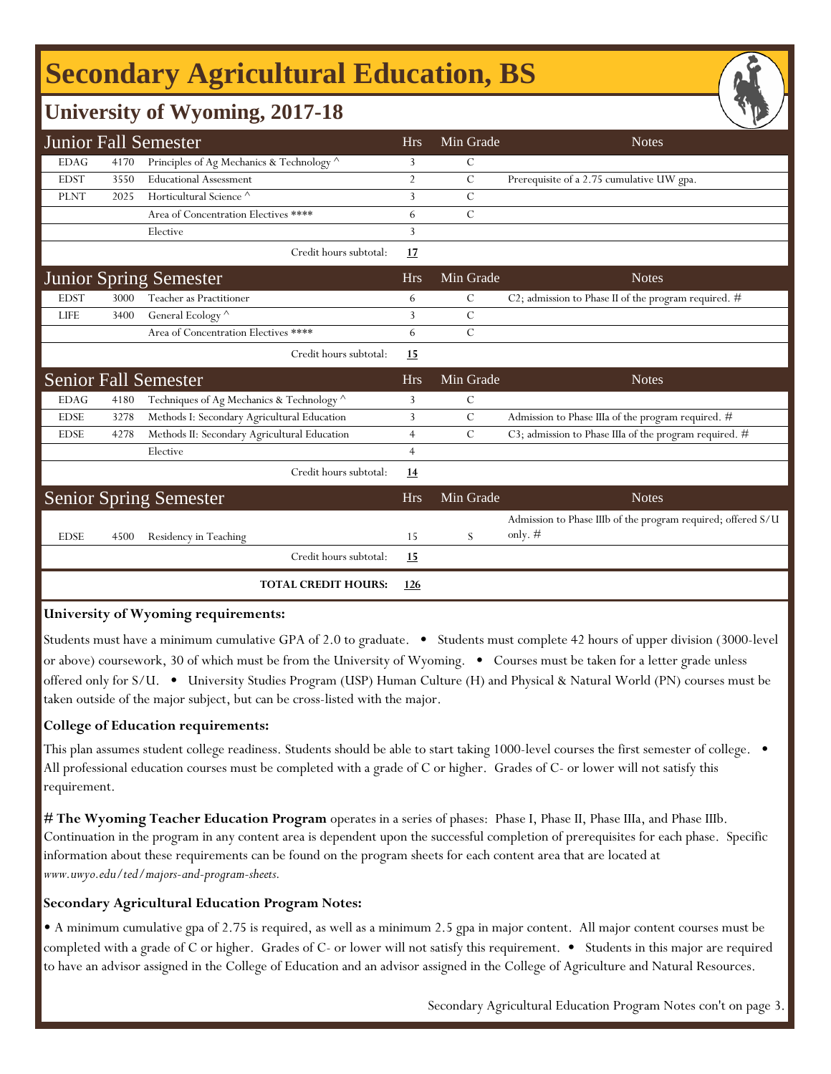# **Secondary Agricultural Education, BS**

### **University of Wyoming, 2017-18**

|                               |      | <b>Junior Fall Semester</b>                  | <b>Hrs</b>     | Min Grade     | <b>Notes</b>                                                 |
|-------------------------------|------|----------------------------------------------|----------------|---------------|--------------------------------------------------------------|
| <b>EDAG</b>                   | 4170 | Principles of Ag Mechanics & Technology ^    | 3              | C             |                                                              |
| <b>EDST</b>                   | 3550 | <b>Educational Assessment</b>                | $\overline{2}$ | $\mathcal{C}$ | Prerequisite of a 2.75 cumulative UW gpa.                    |
| <b>PLNT</b>                   | 2025 | Horticultural Science <sup>^</sup>           | 3              | $\mathcal{C}$ |                                                              |
|                               |      | Area of Concentration Electives ****         | 6              | $\mathcal{C}$ |                                                              |
|                               |      | Elective                                     | 3              |               |                                                              |
|                               |      | Credit hours subtotal:                       | 17             |               |                                                              |
| <b>Junior Spring Semester</b> |      |                                              | <b>Hrs</b>     | Min Grade     | <b>Notes</b>                                                 |
| <b>EDST</b>                   | 3000 | Teacher as Practitioner                      | 6              | $\mathcal{C}$ | C2; admission to Phase II of the program required. #         |
| <b>LIFE</b>                   | 3400 | General Ecology ^                            | 3              | $\mathcal{C}$ |                                                              |
|                               |      | Area of Concentration Electives ****         | 6              | $\mathcal{C}$ |                                                              |
|                               |      | Credit hours subtotal:                       | 15             |               |                                                              |
|                               |      | <b>Senior Fall Semester</b>                  | <b>Hrs</b>     | Min Grade     | <b>Notes</b>                                                 |
| <b>EDAG</b>                   | 4180 | Techniques of Ag Mechanics & Technology ^    | 3              | $\mathcal{C}$ |                                                              |
| <b>EDSE</b>                   | 3278 | Methods I: Secondary Agricultural Education  | 3              | $\mathcal{C}$ | Admission to Phase IIIa of the program required. #           |
| <b>EDSE</b>                   | 4278 | Methods II: Secondary Agricultural Education | $\overline{4}$ | $\mathcal{C}$ | C3; admission to Phase IIIa of the program required. #       |
|                               |      | Elective                                     | $\overline{4}$ |               |                                                              |
|                               |      | Credit hours subtotal:                       | 14             |               |                                                              |
|                               |      | <b>Senior Spring Semester</b>                | <b>Hrs</b>     | Min Grade     | <b>Notes</b>                                                 |
|                               |      |                                              |                |               | Admission to Phase IIIb of the program required; offered S/U |
| <b>EDSE</b>                   | 4500 | Residency in Teaching                        | 15             | S             | only. $#$                                                    |
|                               |      | Credit hours subtotal:                       | 15             |               |                                                              |
|                               |      | <b>TOTAL CREDIT HOURS:</b>                   | 126            |               |                                                              |

#### **University of Wyoming requirements:**

Students must have a minimum cumulative GPA of 2.0 to graduate. • Students must complete 42 hours of upper division (3000-level or above) coursework, 30 of which must be from the University of Wyoming. • Courses must be taken for a letter grade unless offered only for S/U. • University Studies Program (USP) Human Culture (H) and Physical & Natural World (PN) courses must be taken outside of the major subject, but can be cross-listed with the major.

#### **College of Education requirements:**

This plan assumes student college readiness. Students should be able to start taking 1000-level courses the first semester of college. All professional education courses must be completed with a grade of C or higher. Grades of C- or lower will not satisfy this requirement.

**[# The Wyoming Teacher Education Program](http://www.uwyo.edu/ted/majors-and-program-sheets)** operates in a series of phases: Phase I, Phase II, Phase IIIa, and Phase IIIb. [Co](http://www.uwyo.edu/ted/majors-and-program-sheets)ntinuation in the program in any content area is dependent upon the successful completion of prerequisites for each phase. Specific [inf](http://www.uwyo.edu/ted/majors-and-program-sheets)ormation about these requirements can be found on the program sheets for each content area that are located at *[ww](http://www.uwyo.edu/ted/majors-and-program-sheets)w.uwyo.edu/ted/majors-and-program-sheets.*

#### **Secondary Agricultural Education Program Notes:**

• A minimum cumulative gpa of 2.75 is required, as well as a minimum 2.5 gpa in major content. All major content courses must be completed with a grade of C or higher. Grades of C- or lower will not satisfy this requirement. • Students in this major are required to have an advisor assigned in the College of Education and an advisor assigned in the College of Agriculture and Natural Resources.

Secondary Agricultural Education Program Notes con't on page 3.